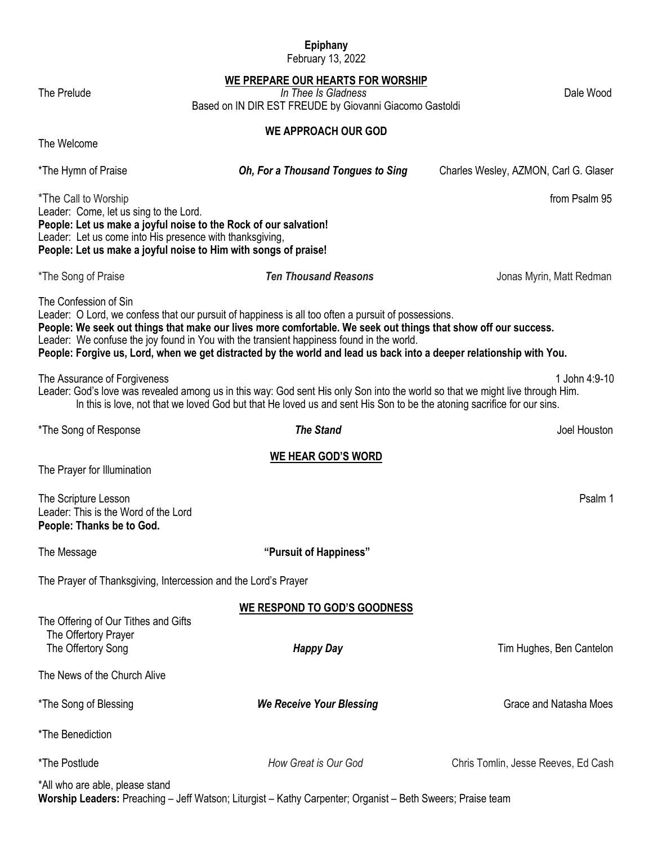## **Epiphany**

February 13, 2022

#### **WE PREPARE OUR HEARTS FOR WORSHIP**

The Prelude *In Thee Is Gladness* Dale Wood Based on IN DIR EST FREUDE by Giovanni Giacomo Gastoldi

#### **WE APPROACH OUR GOD**

The Welcome

\*The Hymn of Praise *Oh, For a Thousand Tongues to Sing* Charles Wesley, AZMON, Carl G. Glaser

\*The Call to Worship from Psalm 95

Leader: Come, let us sing to the Lord. **People: Let us make a joyful noise to the Rock of our salvation!** Leader: Let us come into His presence with thanksgiving, **People: Let us make a joyful noise to Him with songs of praise!**

\*The Song of Praise *Ten Thousand Reasons* Jonas Myrin, Matt Redman

The Confession of Sin

Leader: O Lord, we confess that our pursuit of happiness is all too often a pursuit of possessions. **People: We seek out things that make our lives more comfortable. We seek out things that show off our success.** Leader: We confuse the joy found in You with the transient happiness found in the world. **People: Forgive us, Lord, when we get distracted by the world and lead us back into a deeper relationship with You.**

The Assurance of Forgiveness 1 John 4:9-10

Leader: God's love was revealed among us in this way: God sent His only Son into the world so that we might live through Him. In this is love, not that we loved God but that He loved us and sent His Son to be the atoning sacrifice for our sins.

\*The Song of Response *The Stand* Joel Houston

# **WE HEAR GOD'S WORD**

The Prayer for Illumination

The Scripture Lesson **Properties and Contact Contact Contact Contact Contact Contact Contact Contact Contact Contact Contact Contact Contact Contact Contact Contact Contact Contact Contact Contact Contact Contact Contact C** Leader: This is the Word of the Lord **People: Thanks be to God.**

The Offering of Our Tithes and Gifts

The Message **"Pursuit of Happiness"**

The Prayer of Thanksgiving, Intercession and the Lord's Prayer

**WE RESPOND TO GOD'S GOODNESS**

| The Offertory Prayer<br>The Offertory Song | <b>Happy Day</b>                | Tim Hughes, Ben Cantelon            |
|--------------------------------------------|---------------------------------|-------------------------------------|
| The News of the Church Alive               |                                 |                                     |
| *The Song of Blessing                      | <b>We Receive Your Blessing</b> | Grace and Natasha Moes              |
| *The Benediction                           |                                 |                                     |
| *The Postlude                              | How Great is Our God            | Chris Tomlin, Jesse Reeves, Ed Cash |
|                                            |                                 |                                     |

\*All who are able, please stand **Worship Leaders:** Preaching – Jeff Watson; Liturgist – Kathy Carpenter; Organist – Beth Sweers; Praise team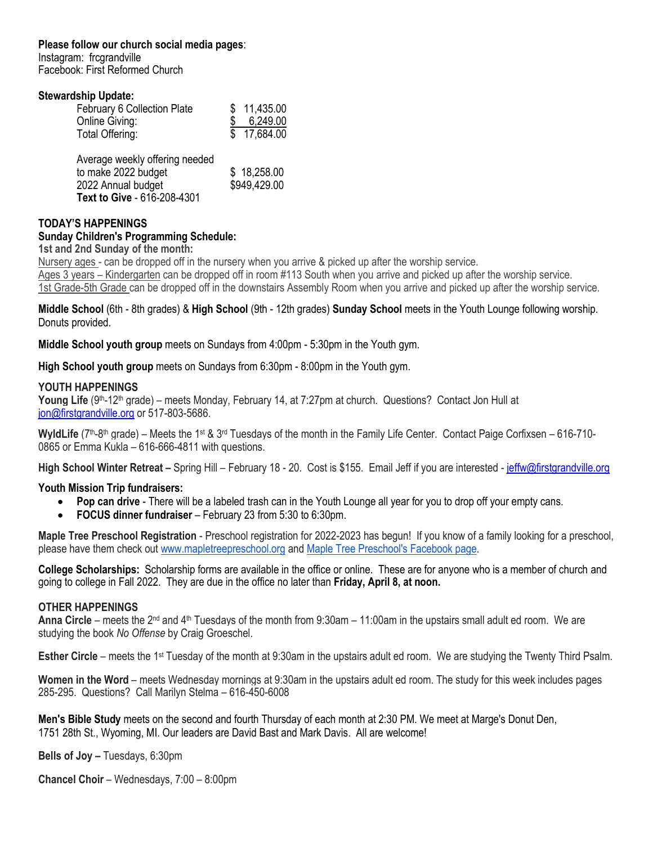#### **Please follow our church social media pages**:

Instagram: frcgrandville Facebook: First Reformed Church

#### **Stewardship Update:**

| \$11,435.00 |
|-------------|
| 6,249.00    |
| \$17,684.00 |
|             |

| Average weekly offering needed |              |
|--------------------------------|--------------|
| to make 2022 budget            | \$18,258.00  |
| 2022 Annual budget             | \$949,429.00 |
| Text to Give - 616-208-4301    |              |

#### **TODAY'S HAPPENINGS**

### **Sunday Children's Programming Schedule:**

**1st and 2nd Sunday of the month:**

Nursery ages - can be dropped off in the nursery when you arrive & picked up after the worship service. Ages 3 years – Kindergarten can be dropped off in room #113 South when you arrive and picked up after the worship service. 1st Grade-5th Grade can be dropped off in the downstairs Assembly Room when you arrive and picked up after the worship service.

**Middle School** (6th - 8th grades) & **High School** (9th - 12th grades) **Sunday School** meets in the Youth Lounge following worship. Donuts provided.

**Middle School youth group** meets on Sundays from 4:00pm - 5:30pm in the Youth gym.

**High School youth group** meets on Sundays from 6:30pm - 8:00pm in the Youth gym.

#### **YOUTH HAPPENINGS**

Young Life (9<sup>th</sup>-12<sup>th</sup> grade) – meets Monday, February 14, at 7:27pm at church. Questions? Contact Jon Hull at [jon@firstgrandville.org](mailto:jon@firstgrandville.org) or 517-803-5686.

WyldLife (7<sup>th</sup>-8<sup>th</sup> grade) – Meets the 1<sup>st</sup> & 3<sup>rd</sup> Tuesdays of the month in the Family Life Center. Contact Paige Corfixsen – 616-710-0865 or Emma Kukla – 616-666-4811 with questions.

**High School Winter Retreat –** Spring Hill – February 18 - 20. Cost is \$155. Email Jeff if you are interested - [jeffw@firstgrandville.org](mailto:jeffw@firstgrandville.org)

#### **Youth Mission Trip fundraisers:**

- **Pop can drive**  There will be a labeled trash can in the Youth Lounge all year for you to drop off your empty cans.
- **FOCUS dinner fundraiser**  February 23 from 5:30 to 6:30pm.

**Maple Tree Preschool Registration** - Preschool registration for 2022-2023 has begun! If you know of a family looking for a preschool, please have them check out [www.mapletreepreschool.org](http://www.mapletreepreschool.org/) and [Maple Tree Preschool's](https://www.facebook.com/Maple-Tree-Preschool-107534002642706) Facebook page.

**College Scholarships:** Scholarship forms are available in the office or online. These are for anyone who is a member of church and going to college in Fall 2022. They are due in the office no later than **Friday, April 8, at noon.**

#### **OTHER HAPPENINGS**

**Anna Circle** – meets the 2nd and 4th Tuesdays of the month from 9:30am – 11:00am in the upstairs small adult ed room. We are studying the book *No Offense* by Craig Groeschel.

**Esther Circle** – meets the 1<sup>st</sup> Tuesday of the month at 9:30am in the upstairs adult ed room. We are studying the Twenty Third Psalm.

**Women in the Word** – meets Wednesday mornings at 9:30am in the upstairs adult ed room. The study for this week includes pages 285-295. Questions? Call Marilyn Stelma – 616-450-6008

**Men's Bible Study** meets on the second and fourth Thursday of each month at 2:30 PM. We meet at Marge's Donut Den, 1751 28th St., Wyoming, MI. Our leaders are David Bast and Mark Davis. All are welcome!

**Bells of Joy –** Tuesdays, 6:30pm

**Chancel Choir** – Wednesdays, 7:00 – 8:00pm